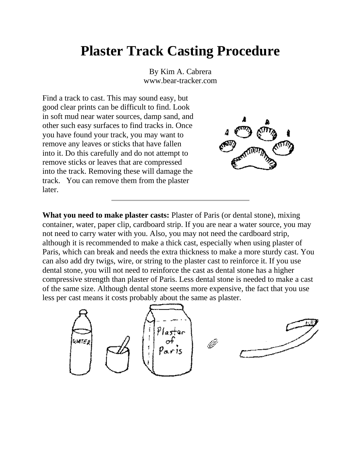## **Plaster Track Casting Procedure**

By Kim A. Cabrera www.bear-tracker.com

Find a track to cast. This may sound easy, but good clear prints can be difficult to find. Look in soft mud near water sources, damp sand, and other such easy surfaces to find tracks in. Once you have found your track, you may want to remove any leaves or sticks that have fallen into it. Do this carefully and do not attempt to remove sticks or leaves that are compressed into the track. Removing these will damage the track. You can remove them from the plaster later.



**What you need to make plaster casts:** Plaster of Paris (or dental stone), mixing container, water, paper clip, cardboard strip. If you are near a water source, you may not need to carry water with you. Also, you may not need the cardboard strip, although it is recommended to make a thick cast, especially when using plaster of Paris, which can break and needs the extra thickness to make a more sturdy cast. You can also add dry twigs, wire, or string to the plaster cast to reinforce it. If you use dental stone, you will not need to reinforce the cast as dental stone has a higher compressive strength than plaster of Paris. Less dental stone is needed to make a cast of the same size. Although dental stone seems more expensive, the fact that you use less per cast means it costs probably about the same as plaster.

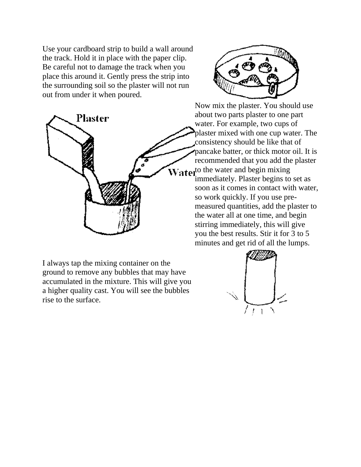Use your cardboard strip to build a wall around the track. Hold it in place with the paper clip. Be careful not to damage the track when you place this around it. Gently press the strip into the surrounding soil so the plaster will not run out from under it when poured.





Now mix the plaster. You should use about two parts plaster to one part water. For example, two cups of plaster mixed with one cup water. The consistency should be like that of pancake batter, or thick motor oil. It is recommended that you add the plaster **Water** to the water and begin mixing immediately. Plaster begins to set as soon as it comes in contact with water, so work quickly. If you use premeasured quantities, add the plaster to the water all at one time, and begin stirring immediately, this will give you the best results. Stir it for 3 to 5 minutes and get rid of all the lumps.

I always tap the mixing container on the ground to remove any bubbles that may have accumulated in the mixture. This will give you a higher quality cast. You will see the bubbles rise to the surface.

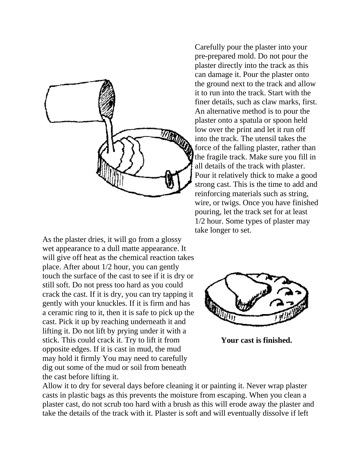

As the plaster dries, it will go from a glossy wet appearance to a dull matte appearance. It will give off heat as the chemical reaction takes place. After about 1/2 hour, you can gently touch the surface of the cast to see if it is dry or still soft. Do not press too hard as you could crack the cast. If it is dry, you can try tapping it gently with your knuckles. If it is firm and has a ceramic ring to it, then it is safe to pick up the cast. Pick it up by reaching underneath it and lifting it. Do not lift by prying under it with a stick. This could crack it. Try to lift it from opposite edges. If it is cast in mud, the mud may hold it firmly You may need to carefully dig out some of the mud or soil from beneath the cast before lifting it.

Carefully pour the plaster into your pre-prepared mold. Do not pour the plaster directly into the track as this can damage it. Pour the plaster onto the ground next to the track and allow it to run into the track. Start with the finer details, such as claw marks, first. An alternative method is to pour the plaster onto a spatula or spoon held low over the print and let it run off into the track. The utensil takes the force of the falling plaster, rather than the fragile track. Make sure you fill in all details of the track with plaster. Pour it relatively thick to make a good strong cast. This is the time to add and reinforcing materials such as string, wire, or twigs. Once you have finished pouring, let the track set for at least 1/2 hour. Some types of plaster may take longer to set.



**Your cast is finished.** 

Allow it to dry for several days before cleaning it or painting it. Never wrap plaster casts in plastic bags as this prevents the moisture from escaping. When you clean a plaster cast, do not scrub too hard with a brush as this will erode away the plaster and take the details of the track with it. Plaster is soft and will eventually dissolve if left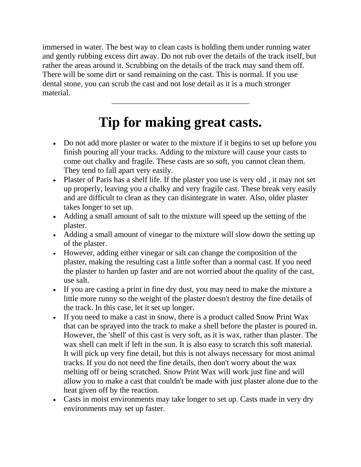immersed in water. The best way to clean casts is holding them under running water and gently rubbing excess dirt away. Do not rub over the details of the track itself, but rather the areas around it. Scrubbing on the details of the track may sand them off. There will be some dirt or sand remaining on the cast. This is normal. If you use dental stone, you can scrub the cast and not lose detail as it is a much stronger material.

## **Tip for making great casts.**

- Do not add more plaster or water to the mixture if it begins to set up before you finish pouring all your tracks. Adding to the mixture will cause your casts to come out chalky and fragile. These casts are so soft, you cannot clean them. They tend to fall apart very easily.
- Plaster of Paris has a shelf life. If the plaster you use is very old , it may not set up properly, leaving you a chalky and very fragile cast. These break very easily and are difficult to clean as they can disintegrate in water. Also, older plaster takes longer to set up.
- Adding a small amount of salt to the mixture will speed up the setting of the plaster.
- Adding a small amount of vinegar to the mixture will slow down the setting up of the plaster.
- However, adding either vinegar or salt can change the composition of the plaster, making the resulting cast a little softer than a normal cast. If you need the plaster to harden up faster and are not worried about the quality of the cast, use salt.
- If you are casting a print in fine dry dust, you may need to make the mixture a little more runny so the weight of the plaster doesn't destroy the fine details of the track. In this case, let it set up longer.
- If you need to make a cast in snow, there is a product called Snow Print Wax that can be sprayed into the track to make a shell before the plaster is poured in. However, the 'shell' of this cast is very soft, as it is wax, rather than plaster. The wax shell can melt if left in the sun. It is also easy to scratch this soft material. It will pick up very fine detail, but this is not always necessary for most animal tracks. If you do not need the fine details, then don't worry about the wax melting off or being scratched. Snow Print Wax will work just fine and will allow you to make a cast that couldn't be made with just plaster alone due to the heat given off by the reaction.
- Casts in moist environments may take longer to set up. Casts made in very dry environments may set up faster.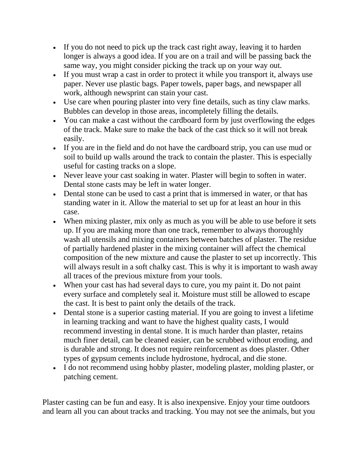- If you do not need to pick up the track cast right away, leaving it to harden longer is always a good idea. If you are on a trail and will be passing back the same way, you might consider picking the track up on your way out.
- If you must wrap a cast in order to protect it while you transport it, always use paper. Never use plastic bags. Paper towels, paper bags, and newspaper all work, although newsprint can stain your cast.
- Use care when pouring plaster into very fine details, such as tiny claw marks. Bubbles can develop in those areas, incompletely filling the details.
- You can make a cast without the cardboard form by just overflowing the edges of the track. Make sure to make the back of the cast thick so it will not break easily.
- If you are in the field and do not have the cardboard strip, you can use mud or soil to build up walls around the track to contain the plaster. This is especially useful for casting tracks on a slope.
- Never leave your cast soaking in water. Plaster will begin to soften in water. Dental stone casts may be left in water longer.
- Dental stone can be used to cast a print that is immersed in water, or that has standing water in it. Allow the material to set up for at least an hour in this case.
- When mixing plaster, mix only as much as you will be able to use before it sets up. If you are making more than one track, remember to always thoroughly wash all utensils and mixing containers between batches of plaster. The residue of partially hardened plaster in the mixing container will affect the chemical composition of the new mixture and cause the plaster to set up incorrectly. This will always result in a soft chalky cast. This is why it is important to wash away all traces of the previous mixture from your tools.
- When your cast has had several days to cure, you my paint it. Do not paint every surface and completely seal it. Moisture must still be allowed to escape the cast. It is best to paint only the details of the track.
- Dental stone is a superior casting material. If you are going to invest a lifetime in learning tracking and want to have the highest quality casts, I would recommend investing in dental stone. It is much harder than plaster, retains much finer detail, can be cleaned easier, can be scrubbed without eroding, and is durable and strong. It does not require reinforcement as does plaster. Other types of gypsum cements include hydrostone, hydrocal, and die stone.
- I do not recommend using hobby plaster, modeling plaster, molding plaster, or patching cement.

Plaster casting can be fun and easy. It is also inexpensive. Enjoy your time outdoors and learn all you can about tracks and tracking. You may not see the animals, but you